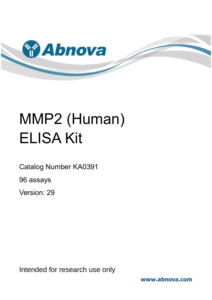

# MMP2 (Human) ELISA Kit

Catalog Number KA0391

96 assays

Version: 29

Intended for research use only

**www.abnova.com**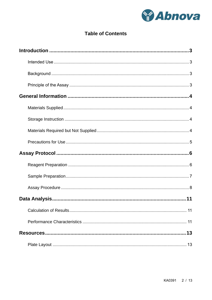

# **Table of Contents**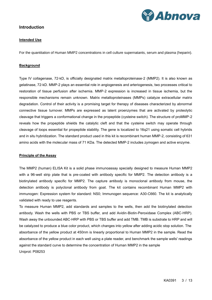

### <span id="page-2-1"></span><span id="page-2-0"></span>**Introduction**

#### **Intended Use**

<span id="page-2-2"></span>For the quantitation of Human MMP2 concentrations in cell culture supernatants, serum and plasma (heparin).

#### **Background**

Type IV collagenase, 72-kD, is officially designated matrix metalloproteinase-2 (MMP2). It is also known as gelatinase, 72-kD. MMP-2 plays an essential role in angiogenesis and arteriogenesis, two processes critical to restoration of tissue perfusion after ischemia. MMP-2 expression is increased in tissue ischemia, but the responsible mechanisms remain unknown. Matrix metalloproteinases (MMPs) catalyze extracellular matrix degradation. Control of their activity is a promising target for therapy of diseases characterized by abnormal connective tissue turnover. MMPs are expressed as latent proenzymes that are activated by proteolytic cleavage that triggers a conformational change in the propeptide (cysteine switch). The structure of proMMP-2 reveals how the propeptide shields the catalytic cleft and that the cysteine switch may operate through cleavage of loops essential for propeptide stability. The gene is localized to 16q21 using somatic cell hybrids and in situ hybridization. The standard product used in this kit is recombinant human MMP-2, consisting of 631 amino acids with the molecular mass of 71 KDa. The detected MMP-2 includes zymogen and active enzyme.

#### <span id="page-2-3"></span>**Principle of the Assay**

The MMP2 (human) ELISA Kit is a solid phase immunoassay specially designed to measure Human MMP2 with a 96-well strip plate that is pre-coated with antibody specific for MMP2. The detection antibody is a biotinylated antibody specific for MMP2. The capture antibody is monoclonal antibody from mouse, the detection antibody is polyclonal antibody from goat. The kit contains recombinant Human MMP2 with immunogen: Expression system for standard: NS0; Immunogen sequence: A30-C660. The kit is analytically validated with ready to use reagents.

To measure Human MMP2, add standards and samples to the wells, then add the biotinylated detection antibody. Wash the wells with PBS or TBS buffer, and add Avidin-Biotin-Peroxidase Complex (ABC-HRP). Wash away the unbounded ABC-HRP with PBS or TBS buffer and add TMB. TMB is substrate to HRP and will be catalyzed to produce a blue color product, which changes into yellow after adding acidic stop solution. The absorbance of the yellow product at 450nm is linearly proportional to Human MMP2 in the sample. Read the absorbance of the yellow product in each well using a plate reader, and benchmark the sample wells' readings against the standard curve to determine the concentration of Human MMP2 in the sample Uniprot: P08253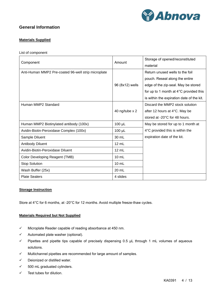

# <span id="page-3-1"></span><span id="page-3-0"></span>**General Information**

#### **Materials Supplied**

List of component

| Component                                           | Amount          | Storage of opened/reconstituted<br>material |  |  |
|-----------------------------------------------------|-----------------|---------------------------------------------|--|--|
| Anti-Human MMP2 Pre-coated 96-well strip microplate |                 | Return unused wells to the foil             |  |  |
|                                                     |                 | pouch. Reseal along the entire              |  |  |
|                                                     | 96 (8x12) wells | edge of the zip-seal. May be stored         |  |  |
|                                                     |                 | for up to 1 month at 4°C provided this      |  |  |
|                                                     |                 | is within the expiration date of the kit.   |  |  |
| Human MMP2 Standard                                 |                 | Discard the MMP2 stock solution             |  |  |
|                                                     | 40 ng/tube x 2  | after 12 hours at 4°C. May be               |  |  |
|                                                     |                 | stored at -20°C for 48 hours.               |  |  |
| Human MMP2 Biotinylated antibody (100x)             | $100 \mu L$     | May be stored for up to 1 month at          |  |  |
| Avidin-Biotin-Peroxidase Complex (100x)             | $100 \mu L$     | 4°C provided this is within the             |  |  |
| Sample Diluent                                      | 30 mL           | expiration date of the kit.                 |  |  |
| <b>Antibody Diluent</b>                             | $12 \text{ mL}$ |                                             |  |  |
| Avidin-Biotin-Peroxidase Diluent                    | $12 \text{ mL}$ |                                             |  |  |
| <b>Color Developing Reagent (TMB)</b>               | $10 \text{ mL}$ |                                             |  |  |
| <b>Stop Solution</b>                                | $10 \text{ mL}$ |                                             |  |  |
| Wash Buffer (25x)                                   | 20 mL           |                                             |  |  |
| <b>Plate Sealers</b>                                | 4 slides        |                                             |  |  |

#### <span id="page-3-2"></span>**Storage Instruction**

<span id="page-3-3"></span>Store at 4°C for 6 months, at -20°C for 12 months. Avoid multiple freeze-thaw cycles.

#### **Materials Required but Not Supplied**

- ✓ Microplate Reader capable of reading absorbance at 450 nm.
- ✓ Automated plate washer (optional).
- ✓ Pipettes and pipette tips capable of precisely dispensing 0.5 µL through 1 mL volumes of aqueous solutions.
- ✓ Multichannel pipettes are recommended for large amount of samples.
- ✓ Deionized or distilled water.
- $\checkmark$  500 mL graduated cylinders.
- ✓ Test tubes for dilution.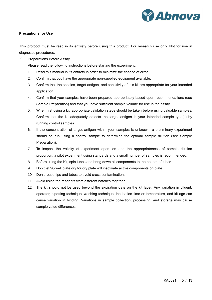

#### <span id="page-4-0"></span>**Precautions for Use**

This protocol must be read in its entirety before using this product. For research use only. Not for use in diagnostic procedures.

✓ Preparations Before Assay

Please read the following instructions before starting the experiment.

- 1. Read this manual in its entirety in order to minimize the chance of error.
- 2. Confirm that you have the appropriate non-supplied equipment available.
- 3. Confirm that the species, target antigen, and sensitivity of this kit are appropriate for your intended application.
- 4. Confirm that your samples have been prepared appropriately based upon recommendations (see Sample Preparation) and that you have sufficient sample volume for use in the assay.
- 5. When first using a kit, appropriate validation steps should be taken before using valuable samples. Confirm that the kit adequately detects the target antigen in your intended sample type(s) by running control samples.
- 6. If the concentration of target antigen within your samples is unknown, a preliminary experiment should be run using a control sample to determine the optimal sample dilution (see Sample Preparation).
- 7. To inspect the validity of experiment operation and the appropriateness of sample dilution proportion, a pilot experiment using standards and a small number of samples is recommended.
- 8. Before using the Kit, spin tubes and bring down all components to the bottom of tubes.
- 9. Don't let 96-well plate dry for dry plate will inactivate active components on plate.
- 10. Don't reuse tips and tubes to avoid cross contamination.
- 11. Avoid using the reagents from different batches together.
- 12. The kit should not be used beyond the expiration date on the kit label. Any variation in diluent, operator, pipetting technique, washing technique, incubation time or temperature, and kit age can cause variation in binding. Variations in sample collection, processing, and storage may cause sample value differences.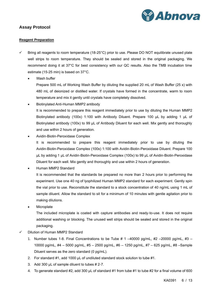

# <span id="page-5-1"></span><span id="page-5-0"></span>**Assay Protocol**

#### **Reagent Preparation**

- $\checkmark$  Bring all reagents to room temperature (18-25°C) prior to use. Please DO NOT equilibrate unused plate well strips to room temperature. They should be sealed and stored in the original packaging. We recommend doing it at 37°C for best consistency with our QC results. Also the TMB incubation time estimate (15-25 min) is based on 37°C.
	- Wash buffer

Prepare 500 mL of Working Wash Buffer by diluting the supplied 20 mL of Wash Buffer (25 x) with 480 mL of deionized or distilled water. If crystals have formed in the concentrate, warm to room temperature and mix it gently until crystals have completely dissolved.

- Biotinylated Anti-Human MMP2 antibody It is recommended to prepare this reagent immediately prior to use by diluting the Human MMP2 Biotinylated antibody (100x) 1:100 with Antibody Diluent. Prepare 100 µL by adding 1 µL of Biotinylated antibody (100x) to 99 µL of Antibody Diluent for each well. Mix gently and thoroughly and use within 2 hours of generation.
- Avidin-Biotin-Peroxidase Complex

It is recommended to prepare this reagent immediately prior to use by diluting the Avidin-Biotin-Peroxidase Complex (100x) 1:100 with Avidin-Biotin-Peroxidase Diluent. Prepare 100 µL by adding 1 µL of Avidin-Biotin-Peroxidase Complex (100x) to 99 µL of Avidin-Biotin-Peroxidase Diluent for each well. Mix gently and thoroughly and use within 2 hours of generation.

• Human MMP2 Standard

It is recommended that the standards be prepared no more than 2 hours prior to performing the experiment. Use one 40 ng of lyophilized Human MMP2 standard for each experiment. Gently spin the vial prior to use. Reconstitute the standard to a stock concentration of 40 ng/mL using 1 mL of sample diluent. Allow the standard to sit for a minimum of 10 minutes with gentle agitation prior to making dilutions.

**Microplate** 

The included microplate is coated with capture antibodies and ready-to-use. It does not require additional washing or blocking. The unused well strips should be sealed and stored in the original packaging.

- Dilution of Human MMP2 Standard
	- 1. Number tubes 1-8. Final Concentrations to be Tube  $\#$  1 –40000 pg/mL,  $\#2$  –20000 pg/mL,  $\#3$  10000 pg/mL, #4 – 5000 pg/mL, #5 – 2500 pg/mL, #6 – 1250 pg/mL, #7 – 625 pg/mL, #8 –Sample Diluent serves as the zero standard (0 pg/mL).
	- 2. For standard #1, add 1000 µL of undiluted standard stock solution to tube #1.
	- 3. Add 300 µL of sample diluent to tubes # 2-7.
	- 4. To generate standard #2, add 300 µL of standard #1 from tube #1 to tube #2 for a final volume of 600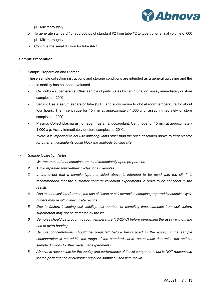

µL. Mix thoroughly.

- 5. To generate standard #3, add 300 µL of standard #2 from tube #2 to tube #3 for a final volume of 600 µL. Mix thoroughly.
- 6. Continue the serial dilution for tube #4-7.

#### <span id="page-6-0"></span>**Sample Preparation**

Sample Preparation and Storage

These sample collection instructions and storage conditions are intended as a general guideline and the sample stability has not been evaluated.

- Cell culture supernatants: Clear sample of particulates by centrifugation, assay immediately or store samples at -20°C.
- Serum: Use a serum separator tube (SST) and allow serum to clot at room temperature for about four hours. Then, centrifuge for 15 min at approximately 1,000 x g. assay immediately or store samples at -20°C.
- Plasma: Collect plasma using heparin as an anticoagulant. Centrifuge for 15 min at approximately 1,000 x g. Assay immediately or store samples at -20°C. *\*Note: it is important to not use anticoagulants other than the ones described above to treat plasma*

*for other anticoagulants could block the antibody binding site.*

- ✓ *Sample Collection Notes*
	- *1. We recommend that samples are used immediately upon preparation.*
	- *2. Avoid repeated freeze/thaw cycles for all samples.*
	- *3. In the event that a sample type not listed above is intended to be used with the kit, it is recommended that the customer conduct validation experiments in order to be confident in the results.*
	- *4. Due to chemical interference, the use of tissue or cell extraction samples prepared by chemical lysis buffers may result in inaccurate results.*
	- *5. Due to factors including cell viability, cell number, or sampling time, samples from cell culture supernatant may not be detected by the kit.*
	- *6. Samples should be brought to room temperature (18-25°C) before performing the assay without the use of extra heating.*
	- *7. Sample concentrations should be predicted before being used in the assay. If the sample concentration is not within the range of the standard curve, users must determine the optimal sample dilutions for their particular experiments.*
	- *8. Abnova is responsible for the quality and performance of the kit components but is NOT responsible for the performance of customer supplied samples used with the kit.*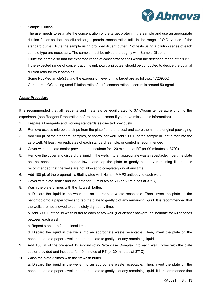

#### ✓ Sample Dilution

The user needs to estimate the concentration of the target protein in the sample and use an appropriate dilution factor so that the diluted target protein concentration falls in the range of O.D. values of the standard curve. Dilute the sample using provided diluent buffer. Pilot tests using a dilution series of each sample type are necessary. The sample must be mixed thoroughly with Sample Diluent.

Dilute the sample so that the expected range of concentrations fall within the detection range of this kit. If the expected range of concentration is unknown, a pilot test should be conducted to decide the optimal dilution ratio for your samples.

Some PubMed article(s) citing the expression level of this target are as follows: 17239302 Our internal QC testing used Dilution ratio of 1:10, concentration in serum is around 50 ng/mL.

#### <span id="page-7-0"></span>**Assay Procedure**

It is recommended that all reagents and materials be equilibrated to 37°C/room temperature prior to the experiment (see Reagent Preparation before the experiment if you have missed this information).

- 1. Prepare all reagents and working standards as directed previously.
- 2. Remove excess microplate strips from the plate frame and seal and store them in the original packaging.
- 3. Add 100 µL of the standard, samples, or control per well. Add 100 µL of the sample diluent buffer into the zero well. At least two replicates of each standard, sample, or control is recommended.
- 4. Cover with the plate sealer provided and incubate for 120 minutes at RT (or 90 minutes at 37°C).
- 5. Remove the cover and discard the liquid in the wells into an appropriate waste receptacle. Invert the plate on the benchtop onto a paper towel and tap the plate to gently blot any remaining liquid. It is recommended that the wells are not allowed to completely dry at any time.
- 6. Add 100 µL of the prepared 1x Biotinylated Anti-Human MMP2 antibody to each well.
- 7. Cover with plate sealer and incubate for 90 minutes at RT (or 60 minutes at 37°C).
- 8. Wash the plate 3 times with the 1x wash buffer.

a. Discard the liquid in the wells into an appropriate waste receptacle. Then, invert the plate on the benchtop onto a paper towel and tap the plate to gently blot any remaining liquid. It is recommended that the wells are not allowed to completely dry at any time.

b. Add 300 µL of the 1x wash buffer to each assay well. (For cleaner background incubate for 60 seconds between each wash).

c. Repeat steps a-b 2 additional times.

d. Discard the liquid in the wells into an appropriate waste receptacle. Then, invert the plate on the benchtop onto a paper towel and tap the plate to gently blot any remaining liquid.

- 9. Add 100 µL of the prepared 1x Avidin-Biotin-Peroxidase Complex into each well. Cover with the plate sealer provided and incubate for 40 minutes at RT (or 30 minutes at 37°C).
- 10. Wash the plate 5 times with the 1x wash buffer.

a. Discard the liquid in the wells into an appropriate waste receptacle. Then, invert the plate on the benchtop onto a paper towel and tap the plate to gently blot any remaining liquid. It is recommended that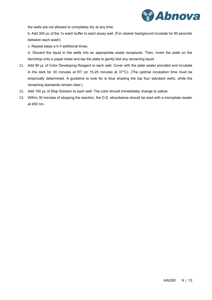

the wells are not allowed to completely dry at any time.

b. Add 300 µL of the 1x wash buffer to each assay well. (For cleaner background incubate for 60 seconds between each wash).

c. Repeat steps a-b 4 additional times.

d. Discard the liquid in the wells into an appropriate waste receptacle. Then, invert the plate on the benchtop onto a paper towel and tap the plate to gently blot any remaining liquid.

- 11. Add 90 µL of Color Developing Reagent to each well. Cover with the plate sealer provided and incubate in the dark for 30 minutes at RT (or 15-25 minutes at 37°C). (The optimal incubation time must be empirically determined. A guideline to look for is blue shading the top four standard wells, while the remaining standards remain clear.)
- 12. Add 100 µL of Stop Solution to each well. The color should immediately change to yellow.
- 13. Within 30 minutes of stopping the reaction, the O.D. absorbance should be read with a microplate reader at 450 nm.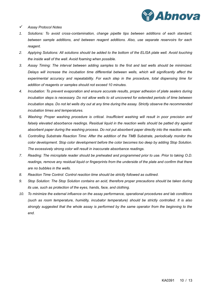

- ✓ *Assay Protocol Notes*
- *1. Solutions: To avoid cross-contamination, change pipette tips between additions of each standard, between sample additions, and between reagent additions. Also, use separate reservoirs for each reagent.*
- *2. Applying Solutions: All solutions should be added to the bottom of the ELISA plate well. Avoid touching the inside wall of the well. Avoid foaming when possible.*
- *3. Assay Timing: The interval between adding samples to the first and last wells should be minimized. Delays will increase the incubation time differential between wells, which will significantly affect the experimental accuracy and repeatability. For each step in the procedure, total dispensing time for addition of reagents or samples should not exceed 10 minutes.*
- *4. Incubation: To prevent evaporation and ensure accurate results, proper adhesion of plate sealers during incubation steps is necessary. Do not allow wells to sit uncovered for extended periods of time between incubation steps. Do not let wells dry out at any time during the assay. Strictly observe the recommended incubation times and temperatures.*
- *5. Washing: Proper washing procedure is critical. Insufficient washing will result in poor precision and falsely elevated absorbance readings. Residual liquid in the reaction wells should be patted dry against absorbent paper during the washing process. Do not put absorbent paper directly into the reaction wells.*
- *6. Controlling Substrate Reaction Time: After the addition of the TMB Substrate, periodically monitor the color development. Stop color development before the color becomes too deep by adding Stop Solution. The excessively strong color will result in inaccurate absorbance readings.*
- *7. Reading: The microplate reader should be preheated and programmed prior to use. Prior to taking O.D. readings, remove any residual liquid or fingerprints from the underside of the plate and confirm that there are no bubbles in the wells.*
- *8. Reaction Time Control: Control reaction time should be strictly followed as outlined.*
- *9. Stop Solution: The Stop Solution contains an acid, therefore proper precautions should be taken during its use, such as protection of the eyes, hands, face, and clothing.*
- *10. To minimize the external influence on the assay performance, operational procedures and lab conditions (such as room temperature, humidity, incubator temperature) should be strictly controlled. It is also strongly suggested that the whole assay is performed by the same operator from the beginning to the end.*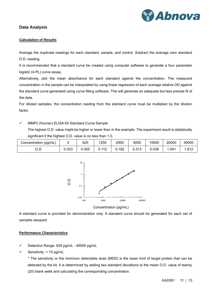

# <span id="page-10-1"></span><span id="page-10-0"></span>**Data Analysis**

#### **Calculation of Results**

Average the duplicate readings for each standard, sample, and control. Subtract the average zero standard O.D. reading.

It is recommended that a standard curve be created using computer software to generate a four parameter logistic (4-PL) curve assay.

Alternatively, plot the mean absorbance for each standard against the concentration. The measured concentration in the sample can be interpolated by using linear regression of each average relative OD against the standard curve generated using curve fitting software. This will generate an adequate but less precise fit of the data.

For diluted samples, the concentration reading from the standard curve must be multiplied by the dilution factor.

✓ MMP2 (Human) ELISA Kit Standard Curve Sample

The highest O.D. value might be higher or lower than in the example. The experiment result is statistically significant if the highest O.D. value is no less than 1.0.

| Concentration (pg/mL) |       | 625   | 1250 | 2500  | 5000  | 10000 | 20000 | 40000 |
|-----------------------|-------|-------|------|-------|-------|-------|-------|-------|
| ה ר<br>◡.◡            | 0.033 | J.055 | 112  | 0.192 | 0.313 | 0.538 | .041  | .812  |



Concentration (pg/mL)

A standard curve is provided for demonstration only. A standard curve should be generated for each set of samples assayed.

#### <span id="page-10-2"></span>**Performance Characteristics**

- ✓ Detection Range: 625 pg/mL 40000 pg/mL
- Sensitivity: < 10 pg/mL

\* The sensitivity or the minimum detectable dose (MDD) is the lower limit of target protein that can be detected by the kit. It is determined by adding two standard deviations to the mean O.D. value of twenty (20) blank wells and calculating the corresponding concentration.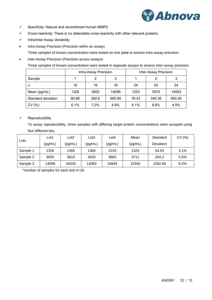

- ✓ Specificity: Natural and recombinant human MMP2
- ✓ Cross-reactivity: There is no detectable cross-reactivity with other relevant proteins
- ✓ Intra/Inter Assay Variability
- Intra-Assay Precision (Precision within an assay)

Three samples of known concentration were tested on one plate to assess intra-assay precision.

• Inter-Assay Precision (Precision across assays)

Three samples of known concentration were tested in separate assays to assess inter-assay precision.

|                    |       | Intra-Assay Precision |        | Inter-Assay Precision |        |        |  |
|--------------------|-------|-----------------------|--------|-----------------------|--------|--------|--|
| Sample             |       | 2                     | 3      |                       | 2      | 3      |  |
| n                  | 16    | 16                    | 16     | 24                    | 24     | 24     |  |
| Mean (pg/mL)       | 1326  | 3925                  | 14099  | 1253                  | 3970   | 14093  |  |
| Standard deviation | 80.88 | 282.6                 | 690.85 | 76.43                 | 349.36 | 690.55 |  |
| CV(%)              | 6.1%  | 7.2%                  | 4.9%   | 6.1%                  | 8.8%   | 4.9%   |  |

#### ✓ Reproducibility

To assay reproducibility, three samples with differing target protein concentrations were assayed using four different lots.

| Lots     | Lot1    | Lot <sub>2</sub> | Lot3    | Lot4    | Mean    | Standard  | CV(%) |
|----------|---------|------------------|---------|---------|---------|-----------|-------|
|          | (pg/mL) | (pg/mL)          | (pg/mL) | (pg/mL) | (pg/mL) | Deviation |       |
| Sample 1 | 1326    | 1365             | 1368    | 1233    | 1323    | 54.53     | 4.1%  |
| Sample 2 | 3925    | 3610             | 3426    | 3883    | 3711    | 204.2     | 5.5%  |
| Sample 3 | 14099   | 16330            | 14083   | 16849   | 15340   | 1262.66   | 8.2%  |

\*number of samples for each test n=16.